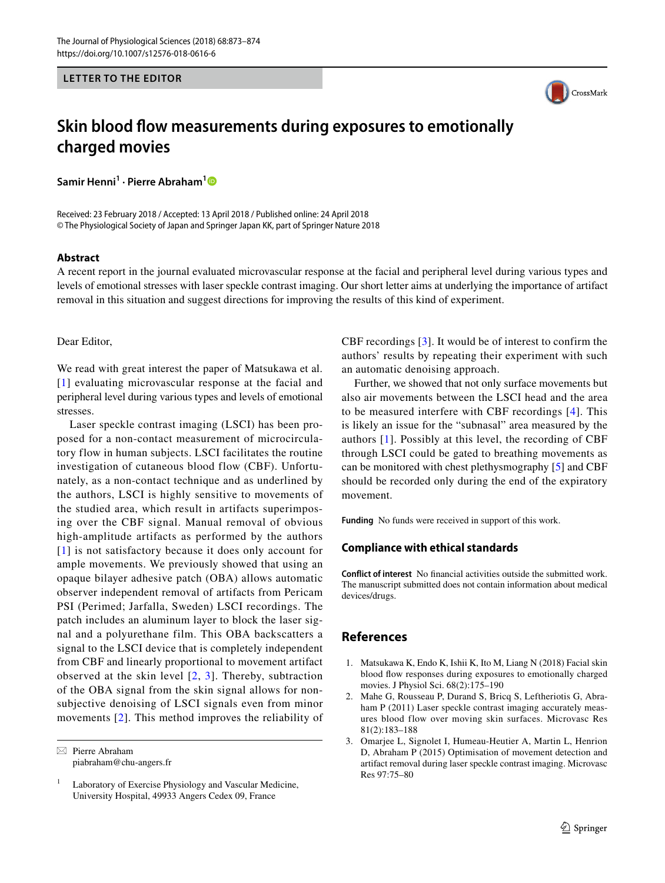#### **LETTER TO THE EDITOR**



# **Skin blood fow measurements during exposures to emotionally charged movies**

**Samir Henni1 · Pierre Abraham[1](http://orcid.org/0000-0001-7053-2801)**

Received: 23 February 2018 / Accepted: 13 April 2018 / Published online: 24 April 2018 © The Physiological Society of Japan and Springer Japan KK, part of Springer Nature 2018

#### **Abstract**

A recent report in the journal evaluated microvascular response at the facial and peripheral level during various types and levels of emotional stresses with laser speckle contrast imaging. Our short letter aims at underlying the importance of artifact removal in this situation and suggest directions for improving the results of this kind of experiment.

#### Dear Editor,

We read with great interest the paper of Matsukawa et al. [[1\]](#page-0-0) evaluating microvascular response at the facial and peripheral level during various types and levels of emotional stresses.

Laser speckle contrast imaging (LSCI) has been proposed for a non-contact measurement of microcirculatory flow in human subjects. LSCI facilitates the routine investigation of cutaneous blood flow (CBF). Unfortunately, as a non-contact technique and as underlined by the authors, LSCI is highly sensitive to movements of the studied area, which result in artifacts superimposing over the CBF signal. Manual removal of obvious high-amplitude artifacts as performed by the authors [[1](#page-0-0)] is not satisfactory because it does only account for ample movements. We previously showed that using an opaque bilayer adhesive patch (OBA) allows automatic observer independent removal of artifacts from Pericam PSI (Perimed; Jarfalla, Sweden) LSCI recordings. The patch includes an aluminum layer to block the laser signal and a polyurethane film. This OBA backscatters a signal to the LSCI device that is completely independent from CBF and linearly proportional to movement artifact observed at the skin level  $[2, 3]$  $[2, 3]$  $[2, 3]$  $[2, 3]$  $[2, 3]$ . Thereby, subtraction of the OBA signal from the skin signal allows for nonsubjective denoising of LSCI signals even from minor movements [[2](#page-0-1)]. This method improves the reliability of

 $\boxtimes$  Pierre Abraham piabraham@chu-angers.fr CBF recordings [[3](#page-0-2)]. It would be of interest to confirm the authors' results by repeating their experiment with such an automatic denoising approach.

Further, we showed that not only surface movements but also air movements between the LSCI head and the area to be measured interfere with CBF recordings [[4](#page-1-0)]. This is likely an issue for the "subnasal" area measured by the authors [[1](#page-0-0)]. Possibly at this level, the recording of CBF through LSCI could be gated to breathing movements as can be monitored with chest plethysmography [\[5\]](#page-1-1) and CBF should be recorded only during the end of the expiratory movement.

**Funding** No funds were received in support of this work.

### **Compliance with ethical standards**

**Conflict of interest** No fnancial activities outside the submitted work. The manuscript submitted does not contain information about medical devices/drugs.

## **References**

- <span id="page-0-0"></span>1. Matsukawa K, Endo K, Ishii K, Ito M, Liang N (2018) Facial skin blood fow responses during exposures to emotionally charged movies. J Physiol Sci. 68(2):175–190
- <span id="page-0-1"></span>2. Mahe G, Rousseau P, Durand S, Bricq S, Leftheriotis G, Abraham P (2011) Laser speckle contrast imaging accurately measures blood flow over moving skin surfaces. Microvasc Res 81(2):183–188
- <span id="page-0-2"></span>3. Omarjee L, Signolet I, Humeau-Heutier A, Martin L, Henrion D, Abraham P (2015) Optimisation of movement detection and artifact removal during laser speckle contrast imaging. Microvasc Res 97:75–80

 $1$  Laboratory of Exercise Physiology and Vascular Medicine, University Hospital, 49933 Angers Cedex 09, France